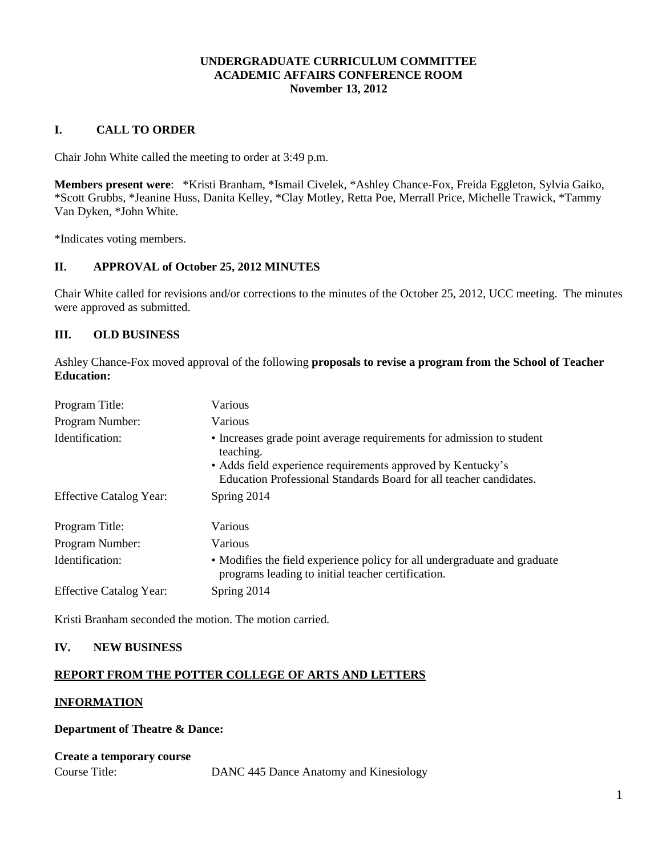# **UNDERGRADUATE CURRICULUM COMMITTEE ACADEMIC AFFAIRS CONFERENCE ROOM November 13, 2012**

# **I. CALL TO ORDER**

Chair John White called the meeting to order at 3:49 p.m.

**Members present were**: \*Kristi Branham, \*Ismail Civelek, \*Ashley Chance-Fox, Freida Eggleton, Sylvia Gaiko, \*Scott Grubbs, \*Jeanine Huss, Danita Kelley, \*Clay Motley, Retta Poe, Merrall Price, Michelle Trawick, \*Tammy Van Dyken, \*John White.

\*Indicates voting members.

# **II. APPROVAL of October 25, 2012 MINUTES**

Chair White called for revisions and/or corrections to the minutes of the October 25, 2012, UCC meeting. The minutes were approved as submitted.

## **III. OLD BUSINESS**

Ashley Chance-Fox moved approval of the following **proposals to revise a program from the School of Teacher Education:**

| Program Title:                 | Various                                                                                                                                                                                                                 |
|--------------------------------|-------------------------------------------------------------------------------------------------------------------------------------------------------------------------------------------------------------------------|
| Program Number:                | Various                                                                                                                                                                                                                 |
| Identification:                | • Increases grade point average requirements for admission to student<br>teaching.<br>• Adds field experience requirements approved by Kentucky's<br>Education Professional Standards Board for all teacher candidates. |
| <b>Effective Catalog Year:</b> | Spring 2014                                                                                                                                                                                                             |
| Program Title:                 | Various                                                                                                                                                                                                                 |
| Program Number:                | Various                                                                                                                                                                                                                 |
| Identification:                | • Modifies the field experience policy for all undergraduate and graduate<br>programs leading to initial teacher certification.                                                                                         |
| <b>Effective Catalog Year:</b> | Spring 2014                                                                                                                                                                                                             |

Kristi Branham seconded the motion. The motion carried.

## **IV. NEW BUSINESS**

## **REPORT FROM THE POTTER COLLEGE OF ARTS AND LETTERS**

### **INFORMATION**

## **Department of Theatre & Dance:**

| <b>Create a temporary course</b> |                                        |
|----------------------------------|----------------------------------------|
| Course Title:                    | DANC 445 Dance Anatomy and Kinesiology |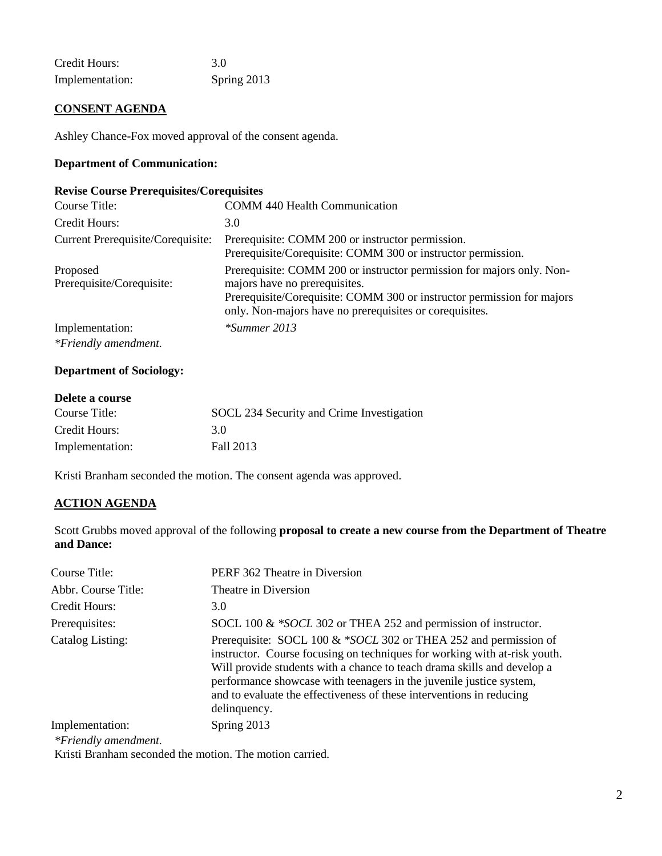| Credit Hours:   | 3.0         |
|-----------------|-------------|
| Implementation: | Spring 2013 |

# **CONSENT AGENDA**

Ashley Chance-Fox moved approval of the consent agenda.

## **Department of Communication:**

## **Revise Course Prerequisites/Corequisites**

| Course Title:                         | <b>COMM 440 Health Communication</b>                                                                                                                                                                                                        |
|---------------------------------------|---------------------------------------------------------------------------------------------------------------------------------------------------------------------------------------------------------------------------------------------|
| Credit Hours:                         | 3.0                                                                                                                                                                                                                                         |
| Current Prerequisite/Corequisite:     | Prerequisite: COMM 200 or instructor permission.<br>Prerequisite/Corequisite: COMM 300 or instructor permission.                                                                                                                            |
| Proposed<br>Prerequisite/Corequisite: | Prerequisite: COMM 200 or instructor permission for majors only. Non-<br>majors have no prerequisites.<br>Prerequisite/Corequisite: COMM 300 or instructor permission for majors<br>only. Non-majors have no prerequisites or corequisites. |
| Implementation:                       | *Summer 2013                                                                                                                                                                                                                                |
| *Friendly amendment.                  |                                                                                                                                                                                                                                             |

# **Department of Sociology:**

| Delete a course |                                           |
|-----------------|-------------------------------------------|
| Course Title:   | SOCL 234 Security and Crime Investigation |
| Credit Hours:   | 30                                        |
| Implementation: | Fall 2013                                 |

Kristi Branham seconded the motion. The consent agenda was approved.

# **ACTION AGENDA**

Scott Grubbs moved approval of the following **proposal to create a new course from the Department of Theatre and Dance:**

| Course Title:       | PERF 362 Theatre in Diversion                                                                                                                                                                                                                                                                                                                                                           |
|---------------------|-----------------------------------------------------------------------------------------------------------------------------------------------------------------------------------------------------------------------------------------------------------------------------------------------------------------------------------------------------------------------------------------|
| Abbr. Course Title: | Theatre in Diversion                                                                                                                                                                                                                                                                                                                                                                    |
| Credit Hours:       | 3.0                                                                                                                                                                                                                                                                                                                                                                                     |
| Prerequisites:      | SOCL 100 & *SOCL 302 or THEA 252 and permission of instructor.                                                                                                                                                                                                                                                                                                                          |
| Catalog Listing:    | Prerequisite: SOCL 100 & *SOCL 302 or THEA 252 and permission of<br>instructor. Course focusing on techniques for working with at-risk youth.<br>Will provide students with a chance to teach drama skills and develop a<br>performance showcase with teenagers in the juvenile justice system,<br>and to evaluate the effectiveness of these interventions in reducing<br>delinquency. |
| Implementation:     | Spring 2013                                                                                                                                                                                                                                                                                                                                                                             |

*\*Friendly amendment.*

Kristi Branham seconded the motion. The motion carried.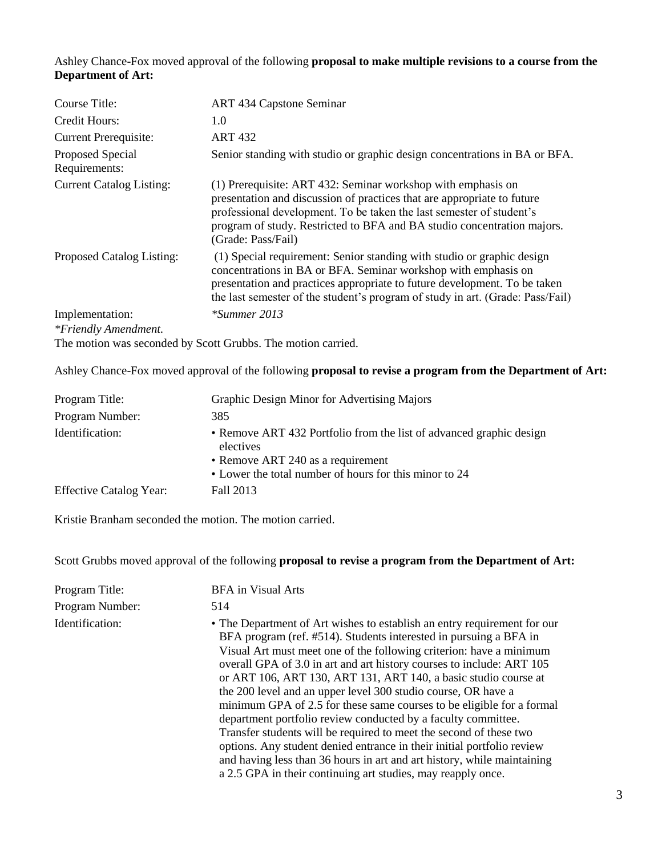Ashley Chance-Fox moved approval of the following **proposal to make multiple revisions to a course from the Department of Art:**

| Course Title:                     | <b>ART 434 Capstone Seminar</b>                                                                                                                                                                                                                                                                                  |
|-----------------------------------|------------------------------------------------------------------------------------------------------------------------------------------------------------------------------------------------------------------------------------------------------------------------------------------------------------------|
| Credit Hours:                     | 1.0                                                                                                                                                                                                                                                                                                              |
| <b>Current Prerequisite:</b>      | <b>ART 432</b>                                                                                                                                                                                                                                                                                                   |
| Proposed Special<br>Requirements: | Senior standing with studio or graphic design concentrations in BA or BFA.                                                                                                                                                                                                                                       |
| <b>Current Catalog Listing:</b>   | (1) Prerequisite: ART 432: Seminar workshop with emphasis on<br>presentation and discussion of practices that are appropriate to future<br>professional development. To be taken the last semester of student's<br>program of study. Restricted to BFA and BA studio concentration majors.<br>(Grade: Pass/Fail) |
| Proposed Catalog Listing:         | (1) Special requirement: Senior standing with studio or graphic design<br>concentrations in BA or BFA. Seminar workshop with emphasis on<br>presentation and practices appropriate to future development. To be taken<br>the last semester of the student's program of study in art. (Grade: Pass/Fail)          |
| Implementation:                   | $*Summer 2013$                                                                                                                                                                                                                                                                                                   |
| *Friendly Amendment.              |                                                                                                                                                                                                                                                                                                                  |

The motion was seconded by Scott Grubbs. The motion carried.

Ashley Chance-Fox moved approval of the following **proposal to revise a program from the Department of Art:**

| Program Title:                 | Graphic Design Minor for Advertising Majors                                                                                                                                     |
|--------------------------------|---------------------------------------------------------------------------------------------------------------------------------------------------------------------------------|
| Program Number:                | 385                                                                                                                                                                             |
| Identification:                | • Remove ART 432 Portfolio from the list of advanced graphic design<br>electives<br>• Remove ART 240 as a requirement<br>• Lower the total number of hours for this minor to 24 |
| <b>Effective Catalog Year:</b> | Fall 2013                                                                                                                                                                       |

Kristie Branham seconded the motion. The motion carried.

Scott Grubbs moved approval of the following **proposal to revise a program from the Department of Art:**

| Program Title:  | <b>BFA</b> in Visual Arts                                                                                                                                                                                                                                                                                                                                                                                                                                                                                                                                                                                                                                                                                                                                                                                                                                              |
|-----------------|------------------------------------------------------------------------------------------------------------------------------------------------------------------------------------------------------------------------------------------------------------------------------------------------------------------------------------------------------------------------------------------------------------------------------------------------------------------------------------------------------------------------------------------------------------------------------------------------------------------------------------------------------------------------------------------------------------------------------------------------------------------------------------------------------------------------------------------------------------------------|
| Program Number: | 514                                                                                                                                                                                                                                                                                                                                                                                                                                                                                                                                                                                                                                                                                                                                                                                                                                                                    |
| Identification: | • The Department of Art wishes to establish an entry requirement for our<br>BFA program (ref. #514). Students interested in pursuing a BFA in<br>Visual Art must meet one of the following criterion: have a minimum<br>overall GPA of 3.0 in art and art history courses to include: ART 105<br>or ART 106, ART 130, ART 131, ART 140, a basic studio course at<br>the 200 level and an upper level 300 studio course, OR have a<br>minimum GPA of 2.5 for these same courses to be eligible for a formal<br>department portfolio review conducted by a faculty committee.<br>Transfer students will be required to meet the second of these two<br>options. Any student denied entrance in their initial portfolio review<br>and having less than 36 hours in art and art history, while maintaining<br>a 2.5 GPA in their continuing art studies, may reapply once. |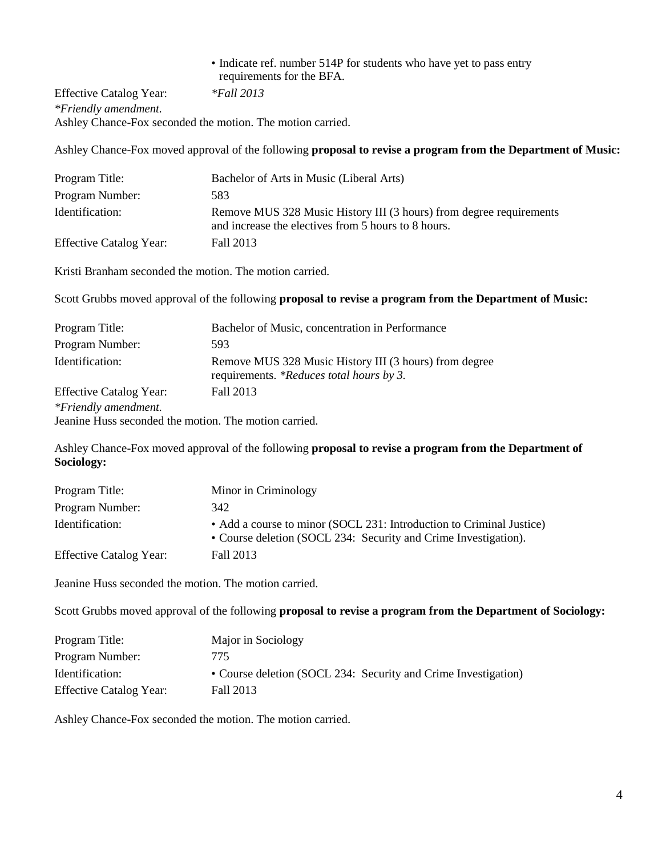# • Indicate ref. number 514P for students who have yet to pass entry requirements for the BFA.

Effective Catalog Year: *\*Fall 2013 \*Friendly amendment.* Ashley Chance-Fox seconded the motion. The motion carried.

Ashley Chance-Fox moved approval of the following **proposal to revise a program from the Department of Music:**

| Program Title:                 | Bachelor of Arts in Music (Liberal Arts)                                                                                   |
|--------------------------------|----------------------------------------------------------------------------------------------------------------------------|
| Program Number:                | 583                                                                                                                        |
| Identification:                | Remove MUS 328 Music History III (3 hours) from degree requirements<br>and increase the electives from 5 hours to 8 hours. |
| <b>Effective Catalog Year:</b> | Fall 2013                                                                                                                  |

Kristi Branham seconded the motion. The motion carried.

Scott Grubbs moved approval of the following **proposal to revise a program from the Department of Music:**

| Program Title:                                        | Bachelor of Music, concentration in Performance                                                    |
|-------------------------------------------------------|----------------------------------------------------------------------------------------------------|
| Program Number:                                       | 593                                                                                                |
| Identification:                                       | Remove MUS 328 Music History III (3 hours) from degree<br>requirements. *Reduces total hours by 3. |
| <b>Effective Catalog Year:</b>                        | Fall 2013                                                                                          |
| *Friendly amendment.                                  |                                                                                                    |
| Jeanine Huss seconded the motion. The motion carried. |                                                                                                    |

Ashley Chance-Fox moved approval of the following **proposal to revise a program from the Department of Sociology:**

| Program Title:                 | Minor in Criminology                                                                                                                    |
|--------------------------------|-----------------------------------------------------------------------------------------------------------------------------------------|
| Program Number:                | 342                                                                                                                                     |
| Identification:                | • Add a course to minor (SOCL 231: Introduction to Criminal Justice)<br>• Course deletion (SOCL 234: Security and Crime Investigation). |
| <b>Effective Catalog Year:</b> | Fall 2013                                                                                                                               |

Jeanine Huss seconded the motion. The motion carried.

Scott Grubbs moved approval of the following **proposal to revise a program from the Department of Sociology:**

| Program Title:                 | Major in Sociology                                             |
|--------------------------------|----------------------------------------------------------------|
| Program Number:                | 775.                                                           |
| Identification:                | • Course deletion (SOCL 234: Security and Crime Investigation) |
| <b>Effective Catalog Year:</b> | Fall 2013                                                      |

Ashley Chance-Fox seconded the motion. The motion carried.